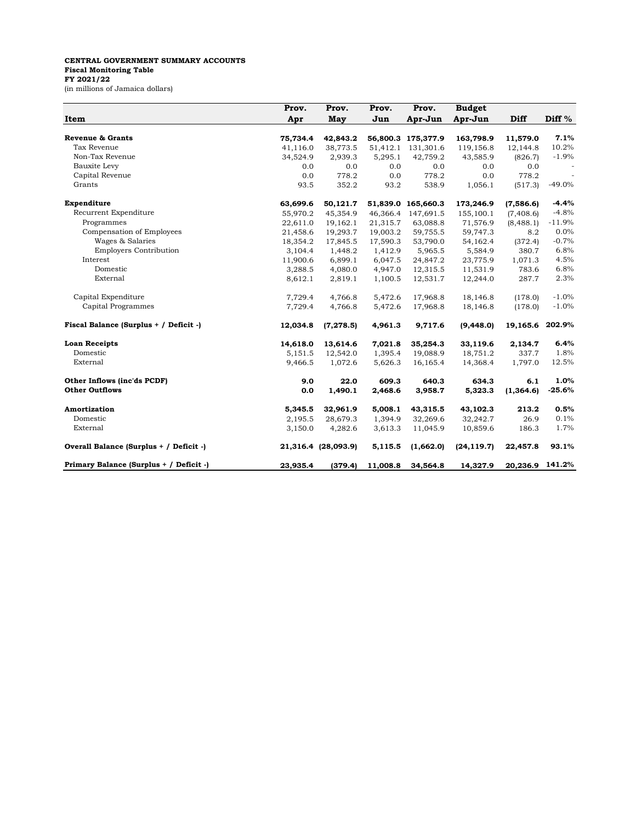## **CENTRAL GOVERNMENT SUMMARY ACCOUNTS Fiscal Monitoring Table FY 2021/22**

(in millions of Jamaica dollars)

|                                         | Prov.    | Prov.                | Prov.    | Prov.                           | <b>Budget</b>          |                      |          |
|-----------------------------------------|----------|----------------------|----------|---------------------------------|------------------------|----------------------|----------|
| Item                                    | Apr      | May                  | Jun      | Apr-Jun                         | Apr-Jun                | <b>Diff</b>          | Diff %   |
| Revenue & Grants                        | 75,734.4 |                      |          |                                 |                        |                      | 7.1%     |
| Tax Revenue                             | 41,116.0 | 42,843.2<br>38,773.5 | 51,412.1 | 56,800.3 175,377.9<br>131,301.6 | 163,798.9<br>119,156.8 | 11,579.0<br>12,144.8 | 10.2%    |
| Non-Tax Revenue                         | 34,524.9 | 2,939.3              | 5,295.1  | 42,759.2                        | 43,585.9               | (826.7)              | $-1.9%$  |
| Bauxite Levy                            | 0.0      | 0.0                  | 0.0      | 0.0                             | 0.0                    | 0.0                  |          |
| Capital Revenue                         | 0.0      | 778.2                | 0.0      | 778.2                           | 0.0                    | 778.2                |          |
| Grants                                  | 93.5     | 352.2                | 93.2     | 538.9                           | 1,056.1                | (517.3)              | $-49.0%$ |
| Expenditure                             | 63,699.6 | 50,121.7             |          | 51,839.0 165,660.3              | 173,246.9              | (7,586.6)            | $-4.4%$  |
| Recurrent Expenditure                   | 55,970.2 | 45,354.9             | 46,366.4 | 147,691.5                       | 155,100.1              | (7,408.6)            | $-4.8%$  |
| Programmes                              | 22,611.0 | 19,162.1             | 21,315.7 | 63,088.8                        | 71,576.9               | (8, 488.1)           | $-11.9%$ |
| Compensation of Employees               | 21,458.6 | 19,293.7             | 19,003.2 | 59,755.5                        | 59,747.3               | 8.2                  | 0.0%     |
| Wages & Salaries                        | 18,354.2 | 17,845.5             | 17,590.3 | 53,790.0                        | 54,162.4               | (372.4)              | $-0.7%$  |
| <b>Employers Contribution</b>           | 3,104.4  | 1,448.2              | 1,412.9  | 5,965.5                         | 5,584.9                | 380.7                | 6.8%     |
| Interest                                | 11,900.6 | 6,899.1              | 6,047.5  | 24,847.2                        | 23,775.9               | 1,071.3              | 4.5%     |
| Domestic                                | 3,288.5  | 4,080.0              | 4,947.0  | 12,315.5                        | 11,531.9               | 783.6                | 6.8%     |
| External                                | 8,612.1  | 2,819.1              | 1,100.5  | 12,531.7                        | 12,244.0               | 287.7                | 2.3%     |
| Capital Expenditure                     | 7,729.4  | 4,766.8              | 5,472.6  | 17,968.8                        | 18,146.8               | (178.0)              | $-1.0%$  |
| Capital Programmes                      | 7,729.4  | 4,766.8              | 5,472.6  | 17,968.8                        | 18,146.8               | (178.0)              | $-1.0%$  |
| Fiscal Balance (Surplus + / Deficit -)  | 12,034.8 | (7, 278.5)           | 4,961.3  | 9,717.6                         | (9, 448.0)             | 19,165.6 202.9%      |          |
| <b>Loan Receipts</b>                    | 14,618.0 | 13,614.6             | 7,021.8  | 35,254.3                        | 33,119.6               | 2,134.7              | 6.4%     |
| Domestic                                | 5,151.5  | 12,542.0             | 1,395.4  | 19,088.9                        | 18,751.2               | 337.7                | 1.8%     |
| External                                | 9,466.5  | 1,072.6              | 5,626.3  | 16,165.4                        | 14,368.4               | 1,797.0              | 12.5%    |
| Other Inflows (inc'ds PCDF)             | 9.0      | 22.0                 | 609.3    | 640.3                           | 634.3                  | 6.1                  | 1.0%     |
| <b>Other Outflows</b>                   | 0.0      | 1,490.1              | 2,468.6  | 3,958.7                         | 5,323.3                | (1, 364.6)           | $-25.6%$ |
| Amortization                            | 5,345.5  | 32,961.9             | 5,008.1  | 43,315.5                        | 43,102.3               | 213.2                | 0.5%     |
| Domestic                                | 2,195.5  | 28,679.3             | 1,394.9  | 32,269.6                        | 32,242.7               | 26.9                 | 0.1%     |
| External                                | 3,150.0  | 4,282.6              | 3,613.3  | 11,045.9                        | 10,859.6               | 186.3                | 1.7%     |
| Overall Balance (Surplus + / Deficit -) |          | 21,316.4 (28,093.9)  | 5,115.5  | (1,662.0)                       | (24, 119.7)            | 22,457.8             | 93.1%    |
| Primary Balance (Surplus + / Deficit -) | 23,935.4 | (379.4)              | 11,008.8 | 34,564.8                        | 14,327.9               | 20,236.9 141.2%      |          |